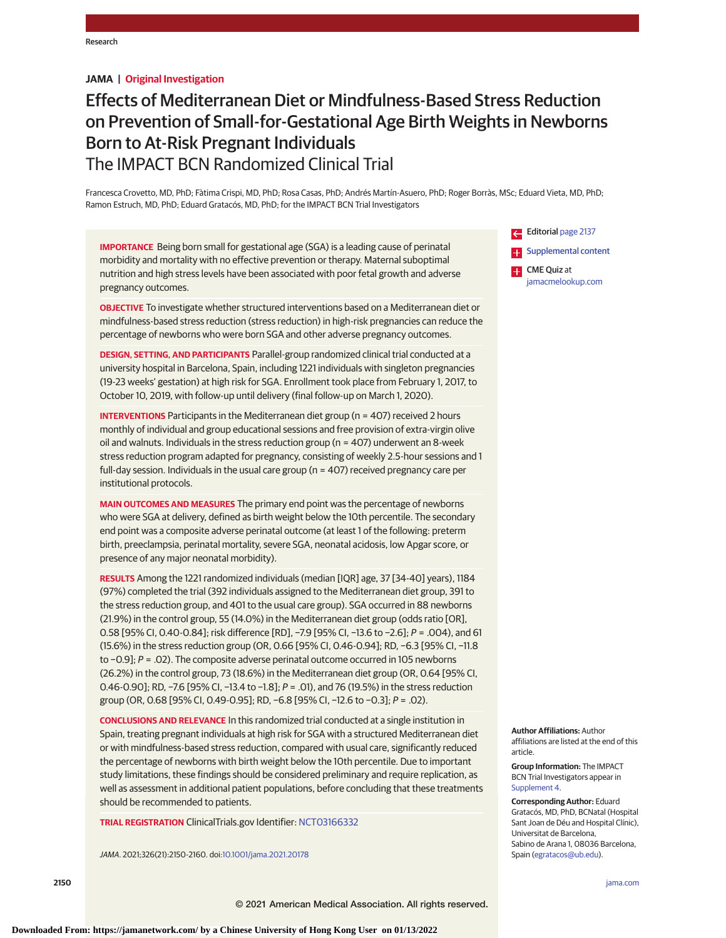# **JAMA | Original Investigation**

# Effects of Mediterranean Diet or Mindfulness-Based Stress Reduction on Prevention of Small-for-Gestational Age Birth Weights in Newborns Born to At-Risk Pregnant Individuals The IMPACT BCN Randomized Clinical Trial

Francesca Crovetto, MD, PhD; Fàtima Crispi, MD, PhD; Rosa Casas, PhD; Andrés Martín-Asuero, PhD; Roger Borràs, MSc; Eduard Vieta, MD, PhD; Ramon Estruch, MD, PhD; Eduard Gratacós, MD, PhD; for the IMPACT BCN Trial Investigators

**IMPORTANCE** Being born small for gestational age (SGA) is a leading cause of perinatal morbidity and mortality with no effective prevention or therapy. Maternal suboptimal nutrition and high stress levels have been associated with poor fetal growth and adverse pregnancy outcomes.

**OBJECTIVE** To investigate whether structured interventions based on a Mediterranean diet or mindfulness-based stress reduction (stress reduction) in high-risk pregnancies can reduce the percentage of newborns who were born SGA and other adverse pregnancy outcomes.

**DESIGN, SETTING, AND PARTICIPANTS** Parallel-group randomized clinical trial conducted at a university hospital in Barcelona, Spain, including 1221 individuals with singleton pregnancies (19-23 weeks' gestation) at high risk for SGA. Enrollment took place from February 1, 2017, to October 10, 2019, with follow-up until delivery (final follow-up on March 1, 2020).

**INTERVENTIONS** Participants in the Mediterranean diet group (n = 407) received 2 hours monthly of individual and group educational sessions and free provision of extra-virgin olive oil and walnuts. Individuals in the stress reduction group (n = 407) underwent an 8-week stress reduction program adapted for pregnancy, consisting of weekly 2.5-hour sessions and 1 full-day session. Individuals in the usual care group (n = 407) received pregnancy care per institutional protocols.

**MAIN OUTCOMES AND MEASURES** The primary end point was the percentage of newborns who were SGA at delivery, defined as birth weight below the 10th percentile. The secondary end point was a composite adverse perinatal outcome (at least 1 of the following: preterm birth, preeclampsia, perinatal mortality, severe SGA, neonatal acidosis, low Apgar score, or presence of any major neonatal morbidity).

**RESULTS** Among the 1221 randomized individuals (median [IQR] age, 37 [34-40] years), 1184 (97%) completed the trial (392 individuals assigned to the Mediterranean diet group, 391 to the stress reduction group, and 401 to the usual care group). SGA occurred in 88 newborns (21.9%) in the control group, 55 (14.0%) in the Mediterranean diet group (odds ratio [OR], 0.58 [95% CI, 0.40-0.84]; risk difference [RD], −7.9 [95% CI, −13.6 to −2.6]; P = .004), and 61 (15.6%) in the stress reduction group (OR, 0.66 [95% CI, 0.46-0.94]; RD, −6.3 [95% CI, −11.8 to −0.9]; P = .02). The composite adverse perinatal outcome occurred in 105 newborns (26.2%) in the control group, 73 (18.6%) in the Mediterranean diet group (OR, 0.64 [95% CI, 0.46-0.90]; RD, −7.6 [95% CI, −13.4 to −1.8]; P = .01), and 76 (19.5%) in the stress reduction group (OR, 0.68 [95% CI, 0.49-0.95]; RD, −6.8 [95% CI, −12.6 to −0.3]; P = .02).

**CONCLUSIONS AND RELEVANCE** In this randomized trial conducted at a single institution in Spain, treating pregnant individuals at high risk for SGA with a structured Mediterranean diet or with mindfulness-based stress reduction, compared with usual care, significantly reduced the percentage of newborns with birth weight below the 10th percentile. Due to important study limitations, these findings should be considered preliminary and require replication, as well as assessment in additional patient populations, before concluding that these treatments should be recommended to patients.

**TRIAL REGISTRATION** ClinicalTrials.gov Identifier: [NCT03166332](https://clinicaltrials.gov/ct2/show/NCT03166332)

JAMA. 2021;326(21):2150-2160. doi[:10.1001/jama.2021.20178](https://jamanetwork.com/journals/jama/fullarticle/10.1001/jama.2021.20178?utm_campaign=articlePDF%26utm_medium=articlePDFlink%26utm_source=articlePDF%26utm_content=jama.2021.20178)

Editorial [page 2137](https://jamanetwork.com/journals/jama/fullarticle/10.1001/jama.2021.19923?utm_campaign=articlePDF%26utm_medium=articlePDFlink%26utm_source=articlePDF%26utm_content=jama.2021.20178) [Supplemental content](https://jamanetwork.com/journals/jama/fullarticle/10.1001/jama.2021.20178?utm_campaign=articlePDF%26utm_medium=articlePDFlink%26utm_source=articlePDF%26utm_content=jama.2021.20178) CME Quiz at [jamacmelookup.com](https://jama.jamanetwork.com/learning/article-quiz/10.1001/jama.2021.20178?utm_campaign=articlePDF%26utm_medium=articlePDFlink%26utm_source=articlePDF%26utm_content=jama.2021.20178)

**Author Affiliations:** Author affiliations are listed at the end of this article.

**Group Information:** The IMPACT BCN Trial Investigators appear in [Supplement 4.](https://jamanetwork.com/journals/jama/fullarticle/10.1001/jama.2021.20178?utm_campaign=articlePDF%26utm_medium=articlePDFlink%26utm_source=articlePDF%26utm_content=jama.2021.20178)

**Corresponding Author:** Eduard Gratacós, MD, PhD, BCNatal (Hospital Sant Joan de Déu and Hospital Clínic), Universitat de Barcelona, Sabino de Arana 1, 08036 Barcelona, Spain [\(egratacos@ub.edu\)](mailto:egratacos@ub.edu).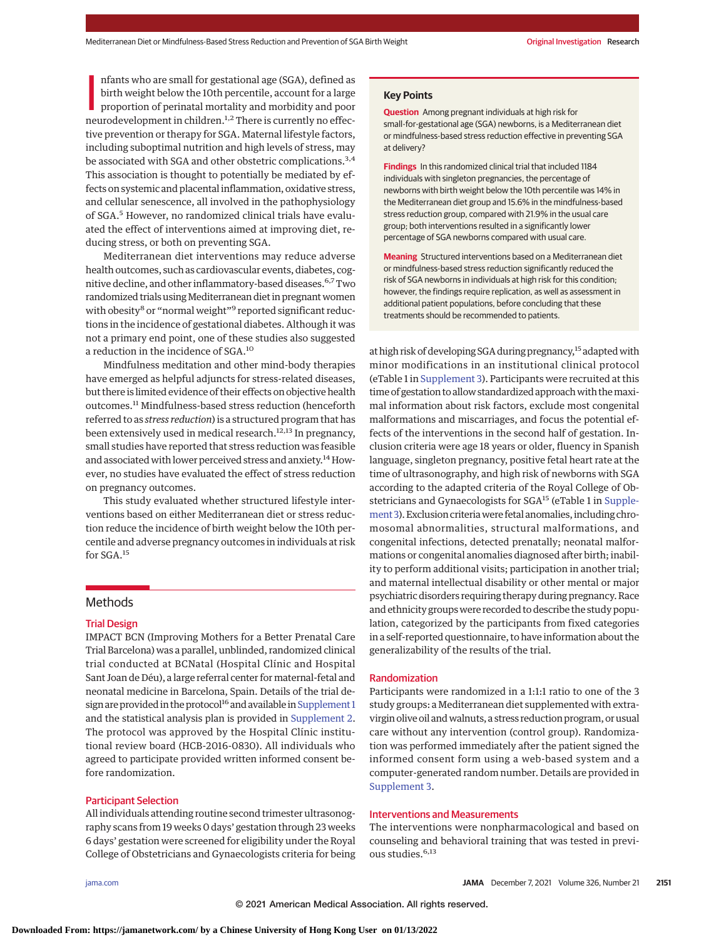nfants who are small for gestational age (SGA), defined as<br>birth weight below the 10th percentile, account for a large<br>proportion of perinatal mortality and morbidity and poor<br>neurodevelopment in children.<sup>1,2</sup> There is cu nfants who are small for gestational age (SGA), defined as birth weight below the 10th percentile, account for a large proportion of perinatal mortality and morbidity and poor tive prevention or therapy for SGA. Maternal lifestyle factors, including suboptimal nutrition and high levels of stress, may be associated with SGA and other obstetric complications.<sup>3,4</sup> This association is thought to potentially be mediated by effects on systemic and placental inflammation, oxidative stress, and cellular senescence, all involved in the pathophysiology of SGA.<sup>5</sup> However, no randomized clinical trials have evaluated the effect of interventions aimed at improving diet, reducing stress, or both on preventing SGA.

Mediterranean diet interventions may reduce adverse health outcomes, such as cardiovascular events, diabetes, cognitive decline, and other inflammatory-based diseases.6,7Two randomized trials using Mediterranean diet in pregnant women with obesity<sup>8</sup> or "normal weight"<sup>9</sup> reported significant reductions in the incidence of gestational diabetes. Although it was not a primary end point, one of these studies also suggested a reduction in the incidence of SGA.<sup>10</sup>

Mindfulness meditation and other mind-body therapies have emerged as helpful adjuncts for stress-related diseases, but there is limited evidence of their effects on objective health outcomes.<sup>11</sup> Mindfulness-based stress reduction (henceforth referred to as *stress reduction*) is a structured program that has been extensively used in medical research.<sup>12,13</sup> In pregnancy, small studies have reported that stress reduction was feasible and associated with lower perceived stress and anxiety.<sup>14</sup> However, no studies have evaluated the effect of stress reduction on pregnancy outcomes.

This study evaluated whether structured lifestyle interventions based on either Mediterranean diet or stress reduction reduce the incidence of birth weight below the 10th percentile and adverse pregnancy outcomes in individuals at risk for SGA.<sup>15</sup>

# **Methods**

# Trial Design

IMPACT BCN (Improving Mothers for a Better Prenatal Care Trial Barcelona) was a parallel, unblinded, randomized clinical trial conducted at BCNatal (Hospital Clínic and Hospital Sant Joan de Déu), a large referral center for maternal-fetal and neonatal medicine in Barcelona, Spain. Details of the trial design are provided in the protocol<sup>16</sup> and available in Supplement 1 and the statistical analysis plan is provided in [Supplement 2.](https://jamanetwork.com/journals/jama/fullarticle/10.1001/jama.2021.20178?utm_campaign=articlePDF%26utm_medium=articlePDFlink%26utm_source=articlePDF%26utm_content=jama.2021.20178) The protocol was approved by the Hospital Clínic institutional review board (HCB-2016-0830). All individuals who agreed to participate provided written informed consent before randomization.

## Participant Selection

All individuals attending routine second trimester ultrasonography scans from 19 weeks 0 days' gestation through 23 weeks 6 days' gestation were screened for eligibility under the Royal College of Obstetricians and Gynaecologists criteria for being

**Key Points**

**Question** Among pregnant individuals at high risk for small-for-gestational age (SGA) newborns, is a Mediterranean diet or mindfulness-based stress reduction effective in preventing SGA at delivery?

**Findings** In this randomized clinical trial that included 1184 individuals with singleton pregnancies, the percentage of newborns with birth weight below the 10th percentile was 14% in the Mediterranean diet group and 15.6% in the mindfulness-based stress reduction group, compared with 21.9% in the usual care group; both interventions resulted in a significantly lower percentage of SGA newborns compared with usual care.

**Meaning** Structured interventions based on a Mediterranean diet or mindfulness-based stress reduction significantly reduced the risk of SGA newborns in individuals at high risk for this condition; however, the findings require replication, as well as assessment in additional patient populations, before concluding that these treatments should be recommended to patients.

at high risk of developing SGA during pregnancy,<sup>15</sup> adapted with minor modifications in an institutional clinical protocol (eTable 1 in [Supplement 3\)](https://jamanetwork.com/journals/jama/fullarticle/10.1001/jama.2021.20178?utm_campaign=articlePDF%26utm_medium=articlePDFlink%26utm_source=articlePDF%26utm_content=jama.2021.20178). Participants were recruited at this time of gestation to allow standardized approach with the maximal information about risk factors, exclude most congenital malformations and miscarriages, and focus the potential effects of the interventions in the second half of gestation. Inclusion criteria were age 18 years or older, fluency in Spanish language, singleton pregnancy, positive fetal heart rate at the time of ultrasonography, and high risk of newborns with SGA according to the adapted criteria of the Royal College of Ob-stetricians and Gynaecologists for SGA<sup>15</sup> (eTable 1 in [Supple](https://jamanetwork.com/journals/jama/fullarticle/10.1001/jama.2021.20178?utm_campaign=articlePDF%26utm_medium=articlePDFlink%26utm_source=articlePDF%26utm_content=jama.2021.20178)[ment 3\)](https://jamanetwork.com/journals/jama/fullarticle/10.1001/jama.2021.20178?utm_campaign=articlePDF%26utm_medium=articlePDFlink%26utm_source=articlePDF%26utm_content=jama.2021.20178). Exclusion criteriawere fetal anomalies, including chromosomal abnormalities, structural malformations, and congenital infections, detected prenatally; neonatal malformations or congenital anomalies diagnosed after birth; inability to perform additional visits; participation in another trial; and maternal intellectual disability or other mental or major psychiatric disorders requiring therapy during pregnancy. Race and ethnicity groups were recorded to describe the study population, categorized by the participants from fixed categories in a self-reported questionnaire, to have information about the generalizability of the results of the trial.

#### Randomization

Participants were randomized in a 1:1:1 ratio to one of the 3 study groups: a Mediterranean diet supplemented with extravirgin olive oil andwalnuts, a stress reduction program, or usual care without any intervention (control group). Randomization was performed immediately after the patient signed the informed consent form using a web-based system and a computer-generated random number. Details are provided in [Supplement 3.](https://jamanetwork.com/journals/jama/fullarticle/10.1001/jama.2021.20178?utm_campaign=articlePDF%26utm_medium=articlePDFlink%26utm_source=articlePDF%26utm_content=jama.2021.20178)

## Interventions and Measurements

The interventions were nonpharmacological and based on counseling and behavioral training that was tested in previous studies.<sup>6,13</sup>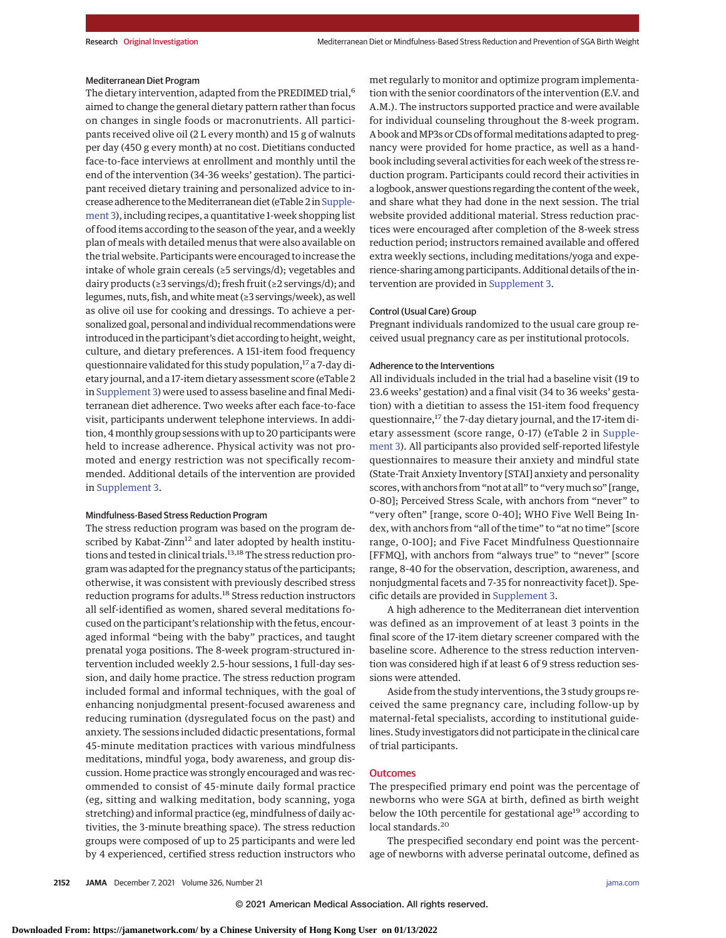#### Mediterranean Diet Program

The dietary intervention, adapted from the PREDIMED trial,<sup>6</sup> aimed to change the general dietary pattern rather than focus on changes in single foods or macronutrients. All participants received olive oil (2 L every month) and 15 g of walnuts per day (450 g every month) at no cost. Dietitians conducted face-to-face interviews at enrollment and monthly until the end of the intervention (34-36 weeks' gestation). The participant received dietary training and personalized advice to increase adherence to the Mediterranean diet (eTable 2 in Supple[ment 3\)](https://jamanetwork.com/journals/jama/fullarticle/10.1001/jama.2021.20178?utm_campaign=articlePDF%26utm_medium=articlePDFlink%26utm_source=articlePDF%26utm_content=jama.2021.20178), including recipes, a quantitative 1-week shopping list of food items according to the season of the year, and a weekly plan of meals with detailed menus that were also available on the trial website. Participants were encouraged to increase the intake of whole grain cereals (≥5 servings/d); vegetables and dairy products (≥3 servings/d); fresh fruit (≥2 servings/d); and legumes, nuts, fish, and whitemeat (≥3 servings/week), as well as olive oil use for cooking and dressings. To achieve a personalized goal, personal and individual recommendationswere introduced in the participant's diet according to height, weight, culture, and dietary preferences. A 151-item food frequency questionnaire validated for this study population,<sup>17</sup> a 7-day dietary journal, and a 17-item dietary assessment score (eTable 2 in [Supplement 3\)](https://jamanetwork.com/journals/jama/fullarticle/10.1001/jama.2021.20178?utm_campaign=articlePDF%26utm_medium=articlePDFlink%26utm_source=articlePDF%26utm_content=jama.2021.20178) were used to assess baseline and final Mediterranean diet adherence. Two weeks after each face-to-face visit, participants underwent telephone interviews. In addition, 4monthly group sessions with up to 20 participants were held to increase adherence. Physical activity was not promoted and energy restriction was not specifically recommended. Additional details of the intervention are provided in [Supplement 3.](https://jamanetwork.com/journals/jama/fullarticle/10.1001/jama.2021.20178?utm_campaign=articlePDF%26utm_medium=articlePDFlink%26utm_source=articlePDF%26utm_content=jama.2021.20178)

## Mindfulness-Based Stress Reduction Program

The stress reduction program was based on the program described by Kabat-Zinn<sup>12</sup> and later adopted by health institutions and tested in clinical trials.<sup>13,18</sup> The stress reduction program was adapted for the pregnancy status of the participants; otherwise, it was consistent with previously described stress reduction programs for adults.<sup>18</sup> Stress reduction instructors all self-identified as women, shared several meditations focused on the participant's relationship with the fetus, encouraged informal "being with the baby" practices, and taught prenatal yoga positions. The 8-week program-structured intervention included weekly 2.5-hour sessions, 1 full-day session, and daily home practice. The stress reduction program included formal and informal techniques, with the goal of enhancing nonjudgmental present-focused awareness and reducing rumination (dysregulated focus on the past) and anxiety. The sessions included didactic presentations, formal 45-minute meditation practices with various mindfulness meditations, mindful yoga, body awareness, and group discussion. Home practice was strongly encouraged and was recommended to consist of 45-minute daily formal practice (eg, sitting and walking meditation, body scanning, yoga stretching) and informal practice (eg, mindfulness of daily activities, the 3-minute breathing space). The stress reduction groups were composed of up to 25 participants and were led by 4 experienced, certified stress reduction instructors who

met regularly to monitor and optimize program implementation with the senior coordinators of the intervention (E.V. and A.M.). The instructors supported practice and were available for individual counseling throughout the 8-week program. A book and MP3s or CDs of formal meditations adapted to pregnancy were provided for home practice, as well as a handbook including several activities for each week of the stress reduction program. Participants could record their activities in a logbook, answer questions regarding the content of the week, and share what they had done in the next session. The trial website provided additional material. Stress reduction practices were encouraged after completion of the 8-week stress reduction period; instructors remained available and offered extra weekly sections, including meditations/yoga and experience-sharing among participants. Additional details of the intervention are provided in [Supplement 3.](https://jamanetwork.com/journals/jama/fullarticle/10.1001/jama.2021.20178?utm_campaign=articlePDF%26utm_medium=articlePDFlink%26utm_source=articlePDF%26utm_content=jama.2021.20178)

#### Control (Usual Care) Group

Pregnant individuals randomized to the usual care group received usual pregnancy care as per institutional protocols.

#### Adherence to the Interventions

All individuals included in the trial had a baseline visit (19 to 23.6 weeks' gestation) and a final visit (34 to 36 weeks' gestation) with a dietitian to assess the 151-item food frequency questionnaire,<sup>17</sup> the 7-day dietary journal, and the 17-item dietary assessment (score range, 0-17) (eTable 2 in [Supple](https://jamanetwork.com/journals/jama/fullarticle/10.1001/jama.2021.20178?utm_campaign=articlePDF%26utm_medium=articlePDFlink%26utm_source=articlePDF%26utm_content=jama.2021.20178)[ment 3\)](https://jamanetwork.com/journals/jama/fullarticle/10.1001/jama.2021.20178?utm_campaign=articlePDF%26utm_medium=articlePDFlink%26utm_source=articlePDF%26utm_content=jama.2021.20178). All participants also provided self-reported lifestyle questionnaires to measure their anxiety and mindful state (State-Trait Anxiety Inventory [STAI] anxiety and personality scores, with anchors from "not at all" to "very much so" [range, 0-80]; Perceived Stress Scale, with anchors from "never" to "very often" [range, score 0-40]; WHO Five Well Being Index, with anchors from "all of the time" to "at no time" [score range, 0-100]; and Five Facet Mindfulness Questionnaire [FFMQ], with anchors from "always true" to "never" [score range, 8-40 for the observation, description, awareness, and nonjudgmental facets and 7-35 for nonreactivity facet]). Specific details are provided in [Supplement 3.](https://jamanetwork.com/journals/jama/fullarticle/10.1001/jama.2021.20178?utm_campaign=articlePDF%26utm_medium=articlePDFlink%26utm_source=articlePDF%26utm_content=jama.2021.20178)

A high adherence to the Mediterranean diet intervention was defined as an improvement of at least 3 points in the final score of the 17-item dietary screener compared with the baseline score. Adherence to the stress reduction intervention was considered high if at least 6 of 9 stress reduction sessions were attended.

Aside from the study interventions, the 3 study groups received the same pregnancy care, including follow-up by maternal-fetal specialists, according to institutional guidelines. Study investigators did not participate in the clinical care of trial participants.

#### **Outcomes**

The prespecified primary end point was the percentage of newborns who were SGA at birth, defined as birth weight below the 10th percentile for gestational age<sup>19</sup> according to local standards.<sup>20</sup>

The prespecified secondary end point was the percentage of newborns with adverse perinatal outcome, defined as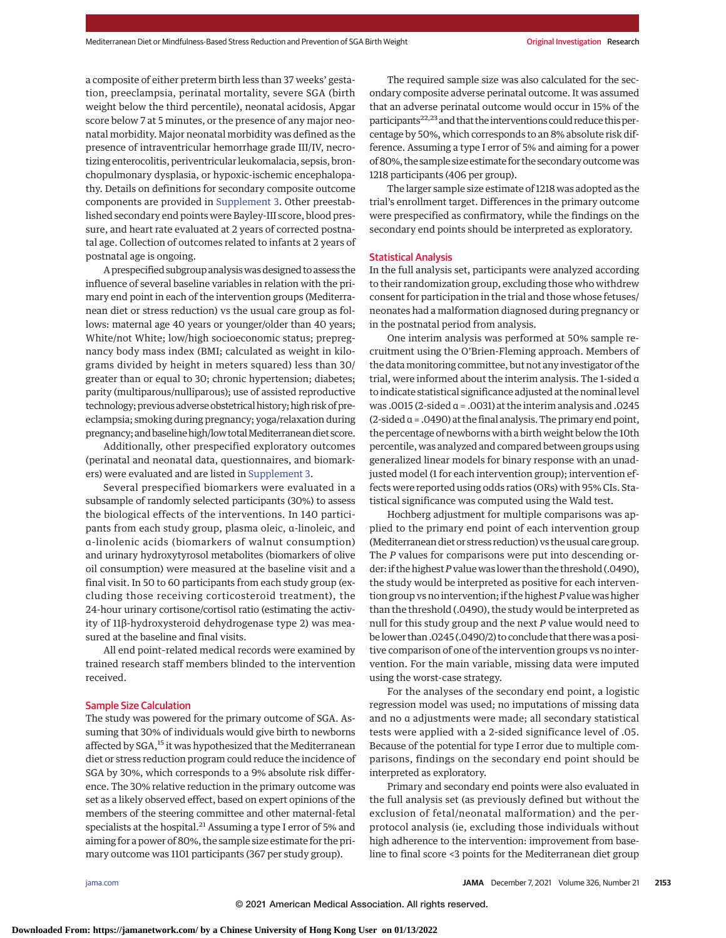a composite of either preterm birth less than 37 weeks' gestation, preeclampsia, perinatal mortality, severe SGA (birth weight below the third percentile), neonatal acidosis, Apgar score below 7 at 5 minutes, or the presence of any major neonatal morbidity. Major neonatal morbidity was defined as the presence of intraventricular hemorrhage grade III/IV, necrotizing enterocolitis, periventricular leukomalacia, sepsis, bronchopulmonary dysplasia, or hypoxic-ischemic encephalopathy. Details on definitions for secondary composite outcome components are provided in [Supplement 3.](https://jamanetwork.com/journals/jama/fullarticle/10.1001/jama.2021.20178?utm_campaign=articlePDF%26utm_medium=articlePDFlink%26utm_source=articlePDF%26utm_content=jama.2021.20178) Other preestablished secondary end points were Bayley-III score, blood pressure, and heart rate evaluated at 2 years of corrected postnatal age. Collection of outcomes related to infants at 2 years of postnatal age is ongoing.

A prespecified subgroup analysiswas designed to assess the influence of several baseline variables in relation with the primary end point in each of the intervention groups (Mediterranean diet or stress reduction) vs the usual care group as follows: maternal age 40 years or younger/older than 40 years; White/not White; low/high socioeconomic status; prepregnancy body mass index (BMI; calculated as weight in kilograms divided by height in meters squared) less than 30/ greater than or equal to 30; chronic hypertension; diabetes; parity (multiparous/nulliparous); use of assisted reproductive technology; previous adverse obstetrical history; high risk of preeclampsia; smoking during pregnancy; yoga/relaxation during pregnancy; and baseline high/low total Mediterranean diet score.

Additionally, other prespecified exploratory outcomes (perinatal and neonatal data, questionnaires, and biomarkers) were evaluated and are listed in [Supplement 3.](https://jamanetwork.com/journals/jama/fullarticle/10.1001/jama.2021.20178?utm_campaign=articlePDF%26utm_medium=articlePDFlink%26utm_source=articlePDF%26utm_content=jama.2021.20178)

Several prespecified biomarkers were evaluated in a subsample of randomly selected participants (30%) to assess the biological effects of the interventions. In 140 participants from each study group, plasma oleic, α-linoleic, and α-linolenic acids (biomarkers of walnut consumption) and urinary hydroxytyrosol metabolites (biomarkers of olive oil consumption) were measured at the baseline visit and a final visit. In 50 to 60 participants from each study group (excluding those receiving corticosteroid treatment), the 24-hour urinary cortisone/cortisol ratio (estimating the activity of 11β-hydroxysteroid dehydrogenase type 2) was measured at the baseline and final visits.

All end point–related medical records were examined by trained research staff members blinded to the intervention received.

#### Sample Size Calculation

The study was powered for the primary outcome of SGA. Assuming that 30% of individuals would give birth to newborns affected by SGA,<sup>15</sup> it was hypothesized that the Mediterranean diet or stress reduction program could reduce the incidence of SGA by 30%, which corresponds to a 9% absolute risk difference. The 30% relative reduction in the primary outcome was set as a likely observed effect, based on expert opinions of the members of the steering committee and other maternal-fetal specialists at the hospital.<sup>21</sup> Assuming a type I error of 5% and aiming for a power of 80%, the sample size estimate for the primary outcome was 1101 participants (367 per study group).

The required sample size was also calculated for the secondary composite adverse perinatal outcome. It was assumed that an adverse perinatal outcome would occur in 15% of the participants<sup>22,23</sup> and that the interventions could reduce this percentage by 50%, which corresponds to an 8% absolute risk difference. Assuming a type I error of 5% and aiming for a power of 80%, the sample size estimate for the secondary outcomewas 1218 participants (406 per group).

The larger sample size estimate of 1218 was adopted as the trial's enrollment target. Differences in the primary outcome were prespecified as confirmatory, while the findings on the secondary end points should be interpreted as exploratory.

#### Statistical Analysis

In the full analysis set, participants were analyzed according to their randomization group, excluding those who withdrew consent for participation in the trial and those whose fetuses/ neonates had a malformation diagnosed during pregnancy or in the postnatal period from analysis.

One interim analysis was performed at 50% sample recruitment using the O'Brien-Fleming approach. Members of the datamonitoring committee, but not any investigator of the trial, were informed about the interim analysis. The 1-sided α to indicate statistical significance adjusted at the nominal level was .0015 (2-sided α = .0031) at the interim analysis and .0245 (2-sided  $\alpha$  = .0490) at the final analysis. The primary end point, the percentage of newborns with a birth weight below the 10th percentile, was analyzed and compared between groups using generalized linear models for binary response with an unadjusted model (1 for each intervention group); intervention effects were reported using odds ratios (ORs) with 95% CIs. Statistical significance was computed using the Wald test.

Hochberg adjustment for multiple comparisons was applied to the primary end point of each intervention group (Mediterranean diet or stress reduction) vs the usual care group. The *P* values for comparisons were put into descending order: if the highest*P*value was lower than the threshold (.0490), the study would be interpreted as positive for each intervention group vs no intervention; if the highest *P* value was higher than the threshold (.0490), the study would be interpreted as null for this study group and the next *P* value would need to be lower than .0245 (.0490/2) to conclude that therewas a positive comparison of one of the intervention groups vs no intervention. For the main variable, missing data were imputed using the worst-case strategy.

For the analyses of the secondary end point, a logistic regression model was used; no imputations of missing data and no α adjustments were made; all secondary statistical tests were applied with a 2-sided significance level of .05. Because of the potential for type I error due to multiple comparisons, findings on the secondary end point should be interpreted as exploratory.

Primary and secondary end points were also evaluated in the full analysis set (as previously defined but without the exclusion of fetal/neonatal malformation) and the perprotocol analysis (ie, excluding those individuals without high adherence to the intervention: improvement from baseline to final score <3 points for the Mediterranean diet group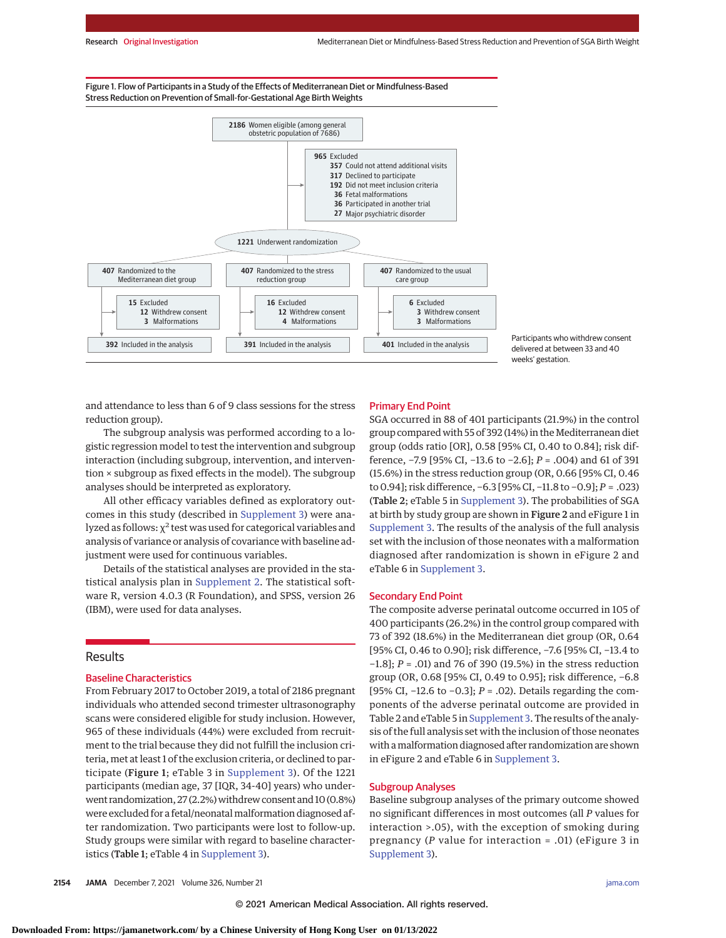Figure 1. Flow of Participants in a Study of the Effects of Mediterranean Diet or Mindfulness-Based Stress Reduction on Prevention of Small-for-Gestational Age Birth Weights



Participants who withdrew consent delivered at between 33 and 40 weeks' gestation.

and attendance to less than 6 of 9 class sessions for the stress reduction group).

The subgroup analysis was performed according to a logistic regression model to test the intervention and subgroup interaction (including subgroup, intervention, and intervention × subgroup as fixed effects in the model). The subgroup analyses should be interpreted as exploratory.

All other efficacy variables defined as exploratory outcomes in this study (described in [Supplement 3\)](https://jamanetwork.com/journals/jama/fullarticle/10.1001/jama.2021.20178?utm_campaign=articlePDF%26utm_medium=articlePDFlink%26utm_source=articlePDF%26utm_content=jama.2021.20178) were analyzed as follows:  $χ²$  test was used for categorical variables and analysis of variance or analysis of covariance with baseline adjustment were used for continuous variables.

Details of the statistical analyses are provided in the statistical analysis plan in [Supplement 2.](https://jamanetwork.com/journals/jama/fullarticle/10.1001/jama.2021.20178?utm_campaign=articlePDF%26utm_medium=articlePDFlink%26utm_source=articlePDF%26utm_content=jama.2021.20178) The statistical software R, version 4.0.3 (R Foundation), and SPSS, version 26 (IBM), were used for data analyses.

## Results

# Baseline Characteristics

From February 2017 to October 2019, a total of 2186 pregnant individuals who attended second trimester ultrasonography scans were considered eligible for study inclusion. However, 965 of these individuals (44%) were excluded from recruitment to the trial because they did not fulfill the inclusion criteria, met at least 1 of the exclusion criteria, or declined to participate (Figure 1; eTable 3 in [Supplement 3\)](https://jamanetwork.com/journals/jama/fullarticle/10.1001/jama.2021.20178?utm_campaign=articlePDF%26utm_medium=articlePDFlink%26utm_source=articlePDF%26utm_content=jama.2021.20178). Of the 1221 participants (median age, 37 [IQR, 34-40] years) who underwent randomization, 27 (2.2%) withdrew consent and 10 (0.8%) were excluded for a fetal/neonatal malformation diagnosed after randomization. Two participants were lost to follow-up. Study groups were similar with regard to baseline characteristics (Table 1; eTable 4 in [Supplement 3\)](https://jamanetwork.com/journals/jama/fullarticle/10.1001/jama.2021.20178?utm_campaign=articlePDF%26utm_medium=articlePDFlink%26utm_source=articlePDF%26utm_content=jama.2021.20178).

#### Primary End Point

SGA occurred in 88 of 401 participants (21.9%) in the control group compared with 55 of 392 (14%) in the Mediterranean diet group (odds ratio [OR], 0.58 [95% CI, 0.40 to 0.84]; risk difference, −7.9 [95% CI, −13.6 to −2.6]; *P* = .004) and 61 of 391 (15.6%) in the stress reduction group (OR, 0.66 [95% CI, 0.46 to 0.94]; risk difference, −6.3 [95% CI, −11.8 to −0.9]; *P* = .023) (Table 2; eTable 5 in [Supplement 3\)](https://jamanetwork.com/journals/jama/fullarticle/10.1001/jama.2021.20178?utm_campaign=articlePDF%26utm_medium=articlePDFlink%26utm_source=articlePDF%26utm_content=jama.2021.20178). The probabilities of SGA at birth by study group are shown in Figure 2 and eFigure 1 in [Supplement 3.](https://jamanetwork.com/journals/jama/fullarticle/10.1001/jama.2021.20178?utm_campaign=articlePDF%26utm_medium=articlePDFlink%26utm_source=articlePDF%26utm_content=jama.2021.20178) The results of the analysis of the full analysis set with the inclusion of those neonates with a malformation diagnosed after randomization is shown in eFigure 2 and eTable 6 in [Supplement 3.](https://jamanetwork.com/journals/jama/fullarticle/10.1001/jama.2021.20178?utm_campaign=articlePDF%26utm_medium=articlePDFlink%26utm_source=articlePDF%26utm_content=jama.2021.20178)

#### Secondary End Point

The composite adverse perinatal outcome occurred in 105 of 400 participants (26.2%) in the control group compared with 73 of 392 (18.6%) in the Mediterranean diet group (OR, 0.64 [95% CI, 0.46 to 0.90]; risk difference, −7.6 [95% CI, −13.4 to −1.8]; *P* = .01) and 76 of 390 (19.5%) in the stress reduction group (OR, 0.68 [95% CI, 0.49 to 0.95]; risk difference, −6.8 [95% CI, −12.6 to −0.3]; *P* = .02). Details regarding the components of the adverse perinatal outcome are provided in Table 2 and eTable 5 in [Supplement 3.](https://jamanetwork.com/journals/jama/fullarticle/10.1001/jama.2021.20178?utm_campaign=articlePDF%26utm_medium=articlePDFlink%26utm_source=articlePDF%26utm_content=jama.2021.20178) The results of the analysis of the full analysis set with the inclusion of those neonates with amalformation diagnosed after randomization are shown in eFigure 2 and eTable 6 in [Supplement 3.](https://jamanetwork.com/journals/jama/fullarticle/10.1001/jama.2021.20178?utm_campaign=articlePDF%26utm_medium=articlePDFlink%26utm_source=articlePDF%26utm_content=jama.2021.20178)

## Subgroup Analyses

Baseline subgroup analyses of the primary outcome showed no significant differences in most outcomes (all *P* values for interaction >.05), with the exception of smoking during pregnancy (*P* value for interaction = .01) (eFigure 3 in [Supplement 3\)](https://jamanetwork.com/journals/jama/fullarticle/10.1001/jama.2021.20178?utm_campaign=articlePDF%26utm_medium=articlePDFlink%26utm_source=articlePDF%26utm_content=jama.2021.20178).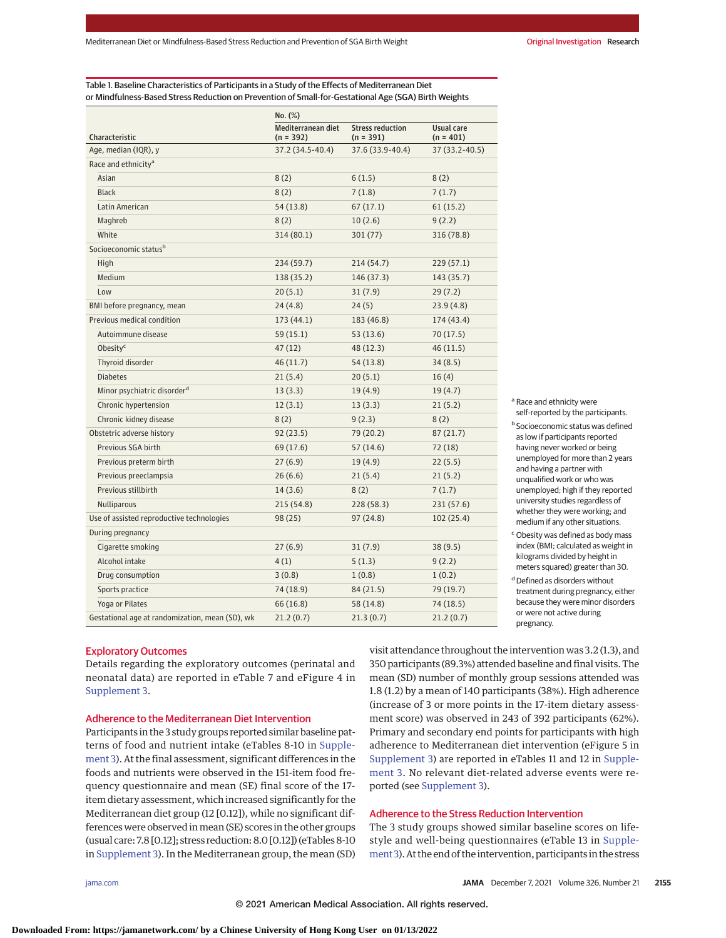Table 1. Baseline Characteristics of Participants in a Study of the Effects of Mediterranean Diet or Mindfulness-Based Stress Reduction on Prevention of Small-for-Gestational Age (SGA) Birth Weights

|                                                 | No. (%)                           |                                        |                           |  |  |  |
|-------------------------------------------------|-----------------------------------|----------------------------------------|---------------------------|--|--|--|
| Characteristic                                  | Mediterranean diet<br>$(n = 392)$ | <b>Stress reduction</b><br>$(n = 391)$ | Usual care<br>$(n = 401)$ |  |  |  |
| Age, median (IQR), y                            | 37.2 (34.5-40.4)                  | 37.6 (33.9-40.4)                       | 37 (33.2-40.5)            |  |  |  |
| Race and ethnicity <sup>a</sup>                 |                                   |                                        |                           |  |  |  |
| Asian                                           | 8(2)                              | 6(1.5)                                 | 8(2)                      |  |  |  |
| <b>Black</b>                                    | 8(2)                              | 7(1.8)                                 | 7(1.7)                    |  |  |  |
| Latin American                                  | 54 (13.8)                         | 67(17.1)                               | 61(15.2)                  |  |  |  |
| Maghreb                                         | 8(2)                              | 10(2.6)                                | 9(2.2)                    |  |  |  |
| White                                           | 314 (80.1)                        | 301 (77)                               | 316 (78.8)                |  |  |  |
| Socioeconomic status <sup>b</sup>               |                                   |                                        |                           |  |  |  |
| High                                            | 234 (59.7)                        | 214 (54.7)                             | 229 (57.1)                |  |  |  |
| Medium                                          | 138 (35.2)                        | 146 (37.3)                             | 143 (35.7)                |  |  |  |
| Low                                             | 20(5.1)                           | 31(7.9)                                | 29(7.2)                   |  |  |  |
| BMI before pregnancy, mean                      | 24(4.8)                           | 24(5)                                  | 23.9(4.8)                 |  |  |  |
| Previous medical condition                      | 173(44.1)                         | 183 (46.8)                             | 174 (43.4)                |  |  |  |
| Autoimmune disease                              | 59 (15.1)                         | 53 (13.6)                              | 70(17.5)                  |  |  |  |
| Obesity <sup>c</sup>                            | 47(12)                            | 48 (12.3)                              | 46(11.5)                  |  |  |  |
| Thyroid disorder                                | 46(11.7)                          | 54 (13.8)                              | 34(8.5)                   |  |  |  |
| <b>Diabetes</b>                                 | 21(5.4)                           | 20(5.1)                                | 16(4)                     |  |  |  |
| Minor psychiatric disorder <sup>d</sup>         | 13(3.3)                           | 19 (4.9)                               | 19(4.7)                   |  |  |  |
| Chronic hypertension                            | 12(3.1)                           | 13(3.3)                                | 21(5.2)                   |  |  |  |
| Chronic kidney disease                          | 8(2)                              | 9(2.3)                                 | 8(2)                      |  |  |  |
| Obstetric adverse history                       | 92(23.5)                          | 79 (20.2)                              | 87(21.7)                  |  |  |  |
| Previous SGA birth                              | 69 (17.6)                         | 57(14.6)                               | 72 (18)                   |  |  |  |
| Previous preterm birth                          | 27(6.9)                           | 19(4.9)                                | 22(5.5)                   |  |  |  |
| Previous preeclampsia                           | 26(6.6)                           | 21(5.4)                                | 21(5.2)                   |  |  |  |
| Previous stillbirth                             | 14(3.6)                           | 8(2)                                   | 7(1.7)                    |  |  |  |
| <b>Nulliparous</b>                              | 215 (54.8)                        | 228 (58.3)                             | 231 (57.6)                |  |  |  |
| Use of assisted reproductive technologies       | 98 (25)                           | 97(24.8)                               | 102 (25.4)                |  |  |  |
| During pregnancy                                |                                   |                                        |                           |  |  |  |
| Cigarette smoking                               | 27(6.9)                           | 31(7.9)                                | 38 (9.5)                  |  |  |  |
| Alcohol intake                                  | 4(1)                              | 5(1.3)                                 | 9(2.2)                    |  |  |  |
| Drug consumption                                | 3(0.8)                            | 1(0.8)                                 | 1(0.2)                    |  |  |  |
| Sports practice                                 | 74 (18.9)                         | 84 (21.5)                              | 79 (19.7)                 |  |  |  |
| Yoga or Pilates                                 | 66 (16.8)                         | 58 (14.8)                              | 74 (18.5)                 |  |  |  |
| Gestational age at randomization, mean (SD), wk | 21.2(0.7)                         | 21.3(0.7)                              | 21.2(0.7)                 |  |  |  |

a Race and ethnicity were

self-reported by the participants. <sup>b</sup> Socioeconomic status was defined as low if participants reported having never worked or being unemployed for more than 2 years and having a partner with unqualified work or who was unemployed; high if they reported university studies regardless of whether they were working; and medium if any other situations.

<sup>c</sup> Obesity was defined as body mass index (BMI; calculated as weight in kilograms divided by height in meters squared) greater than 30.

<sup>d</sup> Defined as disorders without treatment during pregnancy, either because they were minor disorders or were not active during pregnancy.

# Exploratory Outcomes

Details regarding the exploratory outcomes (perinatal and neonatal data) are reported in eTable 7 and eFigure 4 in [Supplement 3.](https://jamanetwork.com/journals/jama/fullarticle/10.1001/jama.2021.20178?utm_campaign=articlePDF%26utm_medium=articlePDFlink%26utm_source=articlePDF%26utm_content=jama.2021.20178)

## Adherence to the Mediterranean Diet Intervention

Participants in the 3 study groups reported similar baseline patterns of food and nutrient intake (eTables 8-10 in [Supple](https://jamanetwork.com/journals/jama/fullarticle/10.1001/jama.2021.20178?utm_campaign=articlePDF%26utm_medium=articlePDFlink%26utm_source=articlePDF%26utm_content=jama.2021.20178)[ment 3\)](https://jamanetwork.com/journals/jama/fullarticle/10.1001/jama.2021.20178?utm_campaign=articlePDF%26utm_medium=articlePDFlink%26utm_source=articlePDF%26utm_content=jama.2021.20178). At the final assessment, significant differences in the foods and nutrients were observed in the 151-item food frequency questionnaire and mean (SE) final score of the 17 item dietary assessment, which increased significantly for the Mediterranean diet group (12 [0.12]), while no significant differences were observed inmean (SE) scores in the other groups (usual care: 7.8 [0.12]; stress reduction: 8.0 [0.12]) (eTables 8-10 in [Supplement 3\)](https://jamanetwork.com/journals/jama/fullarticle/10.1001/jama.2021.20178?utm_campaign=articlePDF%26utm_medium=articlePDFlink%26utm_source=articlePDF%26utm_content=jama.2021.20178). In the Mediterranean group, the mean (SD)

visit attendance throughout the intervention was 3.2 (1.3), and 350 participants (89.3%) attended baseline and final visits. The mean (SD) number of monthly group sessions attended was 1.8 (1.2) by a mean of 140 participants (38%). High adherence (increase of 3 or more points in the 17-item dietary assessment score) was observed in 243 of 392 participants (62%). Primary and secondary end points for participants with high adherence to Mediterranean diet intervention (eFigure 5 in [Supplement 3\)](https://jamanetwork.com/journals/jama/fullarticle/10.1001/jama.2021.20178?utm_campaign=articlePDF%26utm_medium=articlePDFlink%26utm_source=articlePDF%26utm_content=jama.2021.20178) are reported in eTables 11 and 12 in [Supple](https://jamanetwork.com/journals/jama/fullarticle/10.1001/jama.2021.20178?utm_campaign=articlePDF%26utm_medium=articlePDFlink%26utm_source=articlePDF%26utm_content=jama.2021.20178)[ment 3.](https://jamanetwork.com/journals/jama/fullarticle/10.1001/jama.2021.20178?utm_campaign=articlePDF%26utm_medium=articlePDFlink%26utm_source=articlePDF%26utm_content=jama.2021.20178) No relevant diet-related adverse events were reported (see [Supplement 3\)](https://jamanetwork.com/journals/jama/fullarticle/10.1001/jama.2021.20178?utm_campaign=articlePDF%26utm_medium=articlePDFlink%26utm_source=articlePDF%26utm_content=jama.2021.20178).

# Adherence to the Stress Reduction Intervention

The 3 study groups showed similar baseline scores on lifestyle and well-being questionnaires (eTable 13 in [Supple](https://jamanetwork.com/journals/jama/fullarticle/10.1001/jama.2021.20178?utm_campaign=articlePDF%26utm_medium=articlePDFlink%26utm_source=articlePDF%26utm_content=jama.2021.20178)[ment 3\)](https://jamanetwork.com/journals/jama/fullarticle/10.1001/jama.2021.20178?utm_campaign=articlePDF%26utm_medium=articlePDFlink%26utm_source=articlePDF%26utm_content=jama.2021.20178). At the end of the intervention, participants in the stress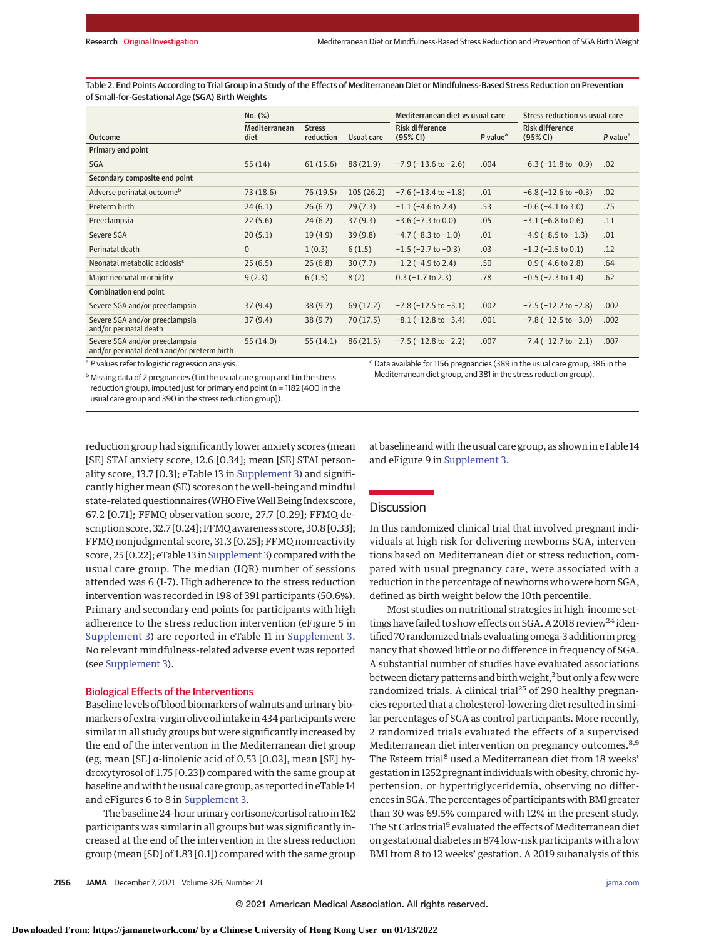Table 2. End Points According to Trial Group in a Study of the Effects of Mediterranean Diet or Mindfulness-Based Stress Reduction on Prevention of Small-for-Gestational Age (SGA) Birth Weights

|                                                                               | No. (%)               |                            | Mediterranean diet vs usual care |                                    | Stress reduction vs usual care |                                    |                        |
|-------------------------------------------------------------------------------|-----------------------|----------------------------|----------------------------------|------------------------------------|--------------------------------|------------------------------------|------------------------|
| Outcome                                                                       | Mediterranean<br>diet | <b>Stress</b><br>reduction | Usual care                       | <b>Risk difference</b><br>(95% CI) | $P$ value <sup>a</sup>         | <b>Risk difference</b><br>(95% CI) | $P$ value <sup>a</sup> |
| Primary end point                                                             |                       |                            |                                  |                                    |                                |                                    |                        |
| <b>SGA</b>                                                                    | 55(14)                | 61(15.6)                   | 88 (21.9)                        | $-7.9$ ( $-13.6$ to $-2.6$ )       | .004                           | $-6.3$ ( $-11.8$ to $-0.9$ )       | .02                    |
| Secondary composite end point                                                 |                       |                            |                                  |                                    |                                |                                    |                        |
| Adverse perinatal outcome <sup>b</sup>                                        | 73(18.6)              | 76 (19.5)                  | 105(26.2)                        | $-7.6$ ( $-13.4$ to $-1.8$ )       | .01                            | $-6.8$ ( $-12.6$ to $-0.3$ )       | .02                    |
| Preterm birth                                                                 | 24(6.1)               | 26(6.7)                    | 29(7.3)                          | $-1.1$ ( $-4.6$ to 2.4)            | .53                            | $-0.6$ ( $-4.1$ to 3.0)            | .75                    |
| Preeclampsia                                                                  | 22(5.6)               | 24(6.2)                    | 37(9.3)                          | $-3.6$ ( $-7.3$ to 0.0)            | .05                            | $-3.1$ ( $-6.8$ to 0.6)            | .11                    |
| Severe SGA                                                                    | 20(5.1)               | 19(4.9)                    | 39(9.8)                          | $-4.7$ ( $-8.3$ to $-1.0$ )        | .01                            | $-4.9$ ( $-8.5$ to $-1.3$ )        | .01                    |
| Perinatal death                                                               | $\Omega$              | 1(0.3)                     | 6(1.5)                           | $-1.5$ ( $-2.7$ to $-0.3$ )        | .03                            | $-1.2$ ( $-2.5$ to 0.1)            | .12                    |
| Neonatal metabolic acidosis <sup>c</sup>                                      | 25(6.5)               | 26(6.8)                    | 30(7.7)                          | $-1.2$ ( $-4.9$ to 2.4)            | .50                            | $-0.9$ ( $-4.6$ to 2.8)            | .64                    |
| Major neonatal morbidity                                                      | 9(2.3)                | 6(1.5)                     | 8(2)                             | $0.3$ (-1.7 to 2.3)                | .78                            | $-0.5$ ( $-2.3$ to 1.4)            | .62                    |
| Combination end point                                                         |                       |                            |                                  |                                    |                                |                                    |                        |
| Severe SGA and/or preeclampsia                                                | 37(9.4)               | 38(9.7)                    | 69 (17.2)                        | $-7.8$ ( $-12.5$ to $-3.1$ )       | .002                           | $-7.5$ ( $-12.2$ to $-2.8$ )       | .002                   |
| Severe SGA and/or preeclampsia<br>and/or perinatal death                      | 37(9.4)               | 38(9.7)                    | 70(17.5)                         | $-8.1(-12.8$ to $-3.4)$            | .001                           | $-7.8$ ( $-12.5$ to $-3.0$ )       | .002                   |
| Severe SGA and/or preeclampsia<br>and/or perinatal death and/or preterm birth | 55 (14.0)             | 55(14.1)                   | 86(21.5)                         | $-7.5$ ( $-12.8$ to $-2.2$ )       | .007                           | $-7.4$ ( $-12.7$ to $-2.1$ )       | .007                   |

<sup>a</sup> P values refer to logistic regression analysis.

b Missing data of 2 pregnancies (1 in the usual care group and 1 in the stress reduction group), imputed just for primary end point (n = 1182 [400 in the usual care group and 390 in the stress reduction group]).

<sup>c</sup> Data available for 1156 pregnancies (389 in the usual care group, 386 in the Mediterranean diet group, and 381 in the stress reduction group).

reduction group had significantly lower anxiety scores (mean [SE] STAI anxiety score, 12.6 [0.34]; mean [SE] STAI personality score, 13.7 [0.3]; eTable 13 in [Supplement 3\)](https://jamanetwork.com/journals/jama/fullarticle/10.1001/jama.2021.20178?utm_campaign=articlePDF%26utm_medium=articlePDFlink%26utm_source=articlePDF%26utm_content=jama.2021.20178) and significantly higher mean (SE) scores on the well-being and mindful state-related questionnaires (WHO Five Well Being Index score, 67.2 [0.71]; FFMQ observation score, 27.7 [0.29]; FFMQ description score, 32.7 [0.24]; FFMQ awareness score, 30.8 [0.33]; FFMQ nonjudgmental score, 31.3 [0.25]; FFMQ nonreactivity score, 25 [0.22]; eTable 13 in [Supplement 3\)](https://jamanetwork.com/journals/jama/fullarticle/10.1001/jama.2021.20178?utm_campaign=articlePDF%26utm_medium=articlePDFlink%26utm_source=articlePDF%26utm_content=jama.2021.20178) compared with the usual care group. The median (IQR) number of sessions attended was 6 (1-7). High adherence to the stress reduction intervention was recorded in 198 of 391 participants (50.6%). Primary and secondary end points for participants with high adherence to the stress reduction intervention (eFigure 5 in [Supplement 3\)](https://jamanetwork.com/journals/jama/fullarticle/10.1001/jama.2021.20178?utm_campaign=articlePDF%26utm_medium=articlePDFlink%26utm_source=articlePDF%26utm_content=jama.2021.20178) are reported in eTable 11 in [Supplement 3.](https://jamanetwork.com/journals/jama/fullarticle/10.1001/jama.2021.20178?utm_campaign=articlePDF%26utm_medium=articlePDFlink%26utm_source=articlePDF%26utm_content=jama.2021.20178) No relevant mindfulness-related adverse event was reported (see [Supplement 3\)](https://jamanetwork.com/journals/jama/fullarticle/10.1001/jama.2021.20178?utm_campaign=articlePDF%26utm_medium=articlePDFlink%26utm_source=articlePDF%26utm_content=jama.2021.20178).

### Biological Effects of the Interventions

Baseline levels of blood biomarkers of walnuts and urinary biomarkers of extra-virgin olive oil intake in 434 participants were similar in all study groups but were significantly increased by the end of the intervention in the Mediterranean diet group (eg, mean [SE] α-linolenic acid of 0.53 [0.02], mean [SE] hydroxytyrosol of 1.75 [0.23]) compared with the same group at baseline and with the usual care group, as reported in eTable 14 and eFigures 6 to 8 in [Supplement 3.](https://jamanetwork.com/journals/jama/fullarticle/10.1001/jama.2021.20178?utm_campaign=articlePDF%26utm_medium=articlePDFlink%26utm_source=articlePDF%26utm_content=jama.2021.20178)

The baseline 24-hour urinary cortisone/cortisol ratio in 162 participants was similar in all groups but was significantly increased at the end of the intervention in the stress reduction group (mean [SD] of 1.83 [0.1]) compared with the same group at baseline and with the usual care group, as shown in eTable 14 and eFigure 9 in [Supplement 3.](https://jamanetwork.com/journals/jama/fullarticle/10.1001/jama.2021.20178?utm_campaign=articlePDF%26utm_medium=articlePDFlink%26utm_source=articlePDF%26utm_content=jama.2021.20178)

# **Discussion**

In this randomized clinical trial that involved pregnant individuals at high risk for delivering newborns SGA, interventions based on Mediterranean diet or stress reduction, compared with usual pregnancy care, were associated with a reduction in the percentage of newborns who were born SGA, defined as birth weight below the 10th percentile.

Most studies on nutritional strategies in high-income settings have failed to show effects on SGA. A 2018 review<sup>24</sup> identified 70 randomized trials evaluating omega-3 addition in pregnancy that showed little or no difference in frequency of SGA. A substantial number of studies have evaluated associations between dietary patterns and birth weight,<sup>3</sup> but only a few were randomized trials. A clinical trial<sup>25</sup> of 290 healthy pregnancies reported that a cholesterol-lowering diet resulted in similar percentages of SGA as control participants. More recently, 2 randomized trials evaluated the effects of a supervised Mediterranean diet intervention on pregnancy outcomes.<sup>8,9</sup> The Esteem trial<sup>8</sup> used a Mediterranean diet from 18 weeks' gestation in 1252 pregnant individuals with obesity, chronic hypertension, or hypertriglyceridemia, observing no differences in SGA. The percentages of participants with BMI greater than 30 was 69.5% compared with 12% in the present study. The St Carlos trial<sup>9</sup> evaluated the effects of Mediterranean diet on gestational diabetes in 874 low-risk participants with a low BMI from 8 to 12 weeks' gestation. A 2019 subanalysis of this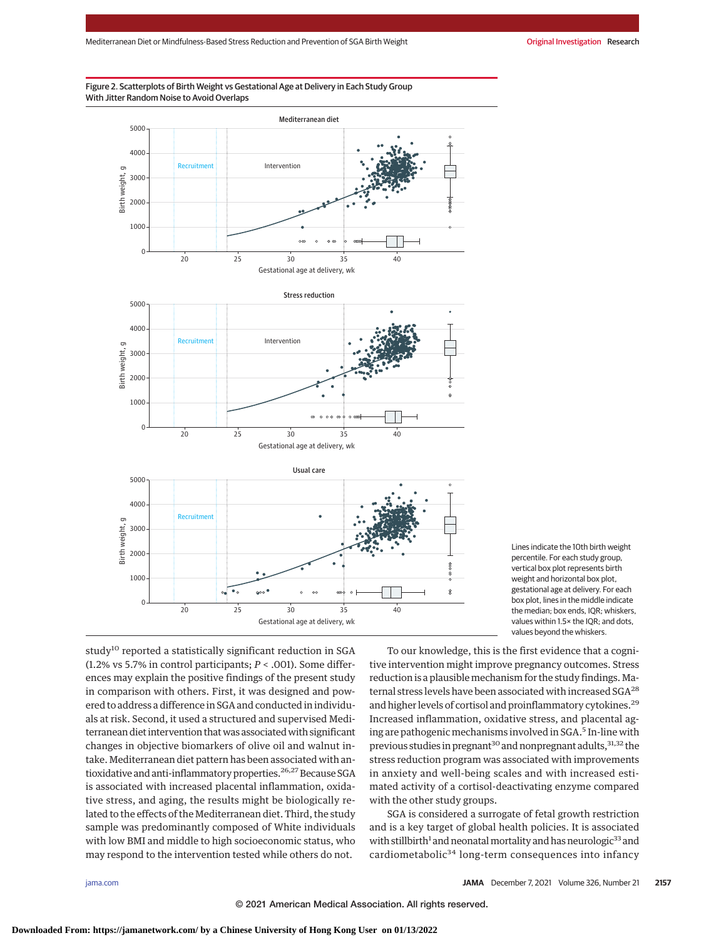### Figure 2. Scatterplots of Birth Weight vs Gestational Age at Delivery in Each Study Group With Jitter Random Noise to Avoid Overlaps



Lines indicate the 10th birth weight percentile. For each study group, vertical box plot represents birth weight and horizontal box plot, gestational age at delivery. For each box plot, lines in the middle indicate the median; box ends, IQR; whiskers, values within 1.5× the IQR; and dots, values beyond the whiskers.

study<sup>10</sup> reported a statistically significant reduction in SGA (1.2% vs 5.7% in control participants; *P* < .001). Some differences may explain the positive findings of the present study in comparison with others. First, it was designed and powered to address a difference in SGA and conducted in individuals at risk. Second, it used a structured and supervised Mediterranean diet intervention that was associated with significant changes in objective biomarkers of olive oil and walnut intake. Mediterranean diet pattern has been associated with antioxidative and anti-inflammatory properties.<sup>26,27</sup> Because SGA is associated with increased placental inflammation, oxidative stress, and aging, the results might be biologically related to the effects of the Mediterranean diet. Third, the study sample was predominantly composed of White individuals with low BMI and middle to high socioeconomic status, who may respond to the intervention tested while others do not.

To our knowledge, this is the first evidence that a cognitive intervention might improve pregnancy outcomes. Stress reduction is a plausible mechanism for the study findings. Maternal stress levels have been associated with increased SGA28 and higher levels of cortisol and proinflammatory cytokines.<sup>29</sup> Increased inflammation, oxidative stress, and placental aging are pathogenic mechanisms involved in SGA.<sup>5</sup> In-line with previous studies in pregnant<sup>30</sup> and nonpregnant adults,  $31,32$  the stress reduction program was associated with improvements in anxiety and well-being scales and with increased estimated activity of a cortisol-deactivating enzyme compared with the other study groups.

SGA is considered a surrogate of fetal growth restriction and is a key target of global health policies. It is associated with stillbirth<sup>1</sup> and neonatal mortality and has neurologic<sup>33</sup> and cardiometabolic<sup>34</sup> long-term consequences into infancy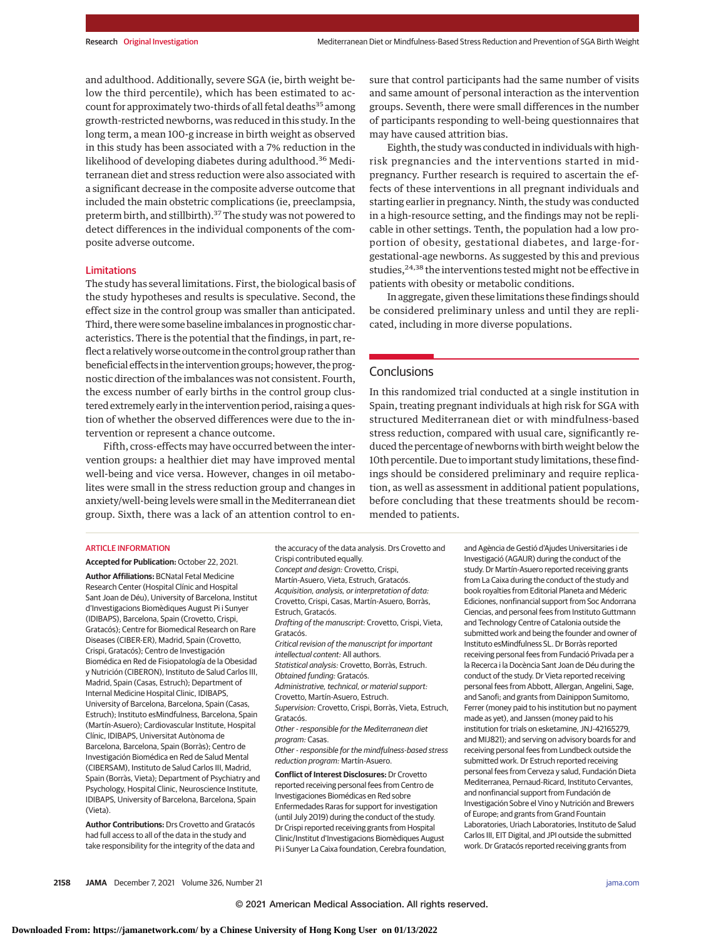and adulthood. Additionally, severe SGA (ie, birth weight below the third percentile), which has been estimated to account for approximately two-thirds of all fetal deaths<sup>35</sup> among growth-restricted newborns, was reduced in this study. In the long term, a mean 100-g increase in birth weight as observed in this study has been associated with a 7% reduction in the likelihood of developing diabetes during adulthood.<sup>36</sup> Mediterranean diet and stress reduction were also associated with a significant decrease in the composite adverse outcome that included the main obstetric complications (ie, preeclampsia, preterm birth, and stillbirth).<sup>37</sup> The study was not powered to detect differences in the individual components of the composite adverse outcome.

#### Limitations

The study has several limitations. First, the biological basis of the study hypotheses and results is speculative. Second, the effect size in the control group was smaller than anticipated. Third, there were some baseline imbalances in prognostic characteristics. There is the potential that the findings, in part, reflect a relatively worse outcome in the control group rather than beneficial effects in the intervention groups; however, the prognostic direction of the imbalances was not consistent. Fourth, the excess number of early births in the control group clustered extremely early in the intervention period, raising a question of whether the observed differences were due to the intervention or represent a chance outcome.

Fifth, cross-effects may have occurred between the intervention groups: a healthier diet may have improved mental well-being and vice versa. However, changes in oil metabolites were small in the stress reduction group and changes in anxiety/well-being levels were small in the Mediterranean diet group. Sixth, there was a lack of an attention control to ensure that control participants had the same number of visits and same amount of personal interaction as the intervention groups. Seventh, there were small differences in the number of participants responding to well-being questionnaires that may have caused attrition bias.

Eighth, the study was conducted in individuals with highrisk pregnancies and the interventions started in midpregnancy. Further research is required to ascertain the effects of these interventions in all pregnant individuals and starting earlier in pregnancy. Ninth, the study was conducted in a high-resource setting, and the findings may not be replicable in other settings. Tenth, the population had a low proportion of obesity, gestational diabetes, and large-forgestational-age newborns. As suggested by this and previous studies,  $24,38$  the interventions tested might not be effective in patients with obesity or metabolic conditions.

In aggregate, given these limitations these findings should be considered preliminary unless and until they are replicated, including in more diverse populations.

# **Conclusions**

In this randomized trial conducted at a single institution in Spain, treating pregnant individuals at high risk for SGA with structured Mediterranean diet or with mindfulness-based stress reduction, compared with usual care, significantly reduced the percentage of newborns with birth weight below the 10th percentile. Due to important study limitations, these findings should be considered preliminary and require replication, as well as assessment in additional patient populations, before concluding that these treatments should be recommended to patients.

#### ARTICLE INFORMATION

#### **Accepted for Publication:** October 22, 2021.

**Author Affiliations:** BCNatal Fetal Medicine Research Center (Hospital Clínic and Hospital Sant Joan de Déu), University of Barcelona, Institut d'Investigacions Biomèdiques August Pi i Sunyer (IDIBAPS), Barcelona, Spain (Crovetto, Crispi, Gratacós); Centre for Biomedical Research on Rare Diseases (CIBER-ER), Madrid, Spain (Crovetto, Crispi, Gratacós); Centro de Investigación Biomédica en Red de Fisiopatología de la Obesidad y Nutrición (CIBERON), Instituto de Salud Carlos III, Madrid, Spain (Casas, Estruch); Department of Internal Medicine Hospital Clinic, IDIBAPS, University of Barcelona, Barcelona, Spain (Casas, Estruch); Instituto esMindfulness, Barcelona, Spain (Martín-Asuero); Cardiovascular Institute, Hospital Clínic, IDIBAPS, Universitat Autònoma de Barcelona, Barcelona, Spain (Borràs); Centro de Investigación Biomédica en Red de Salud Mental (CIBERSAM), Instituto de Salud Carlos III, Madrid, Spain (Borràs, Vieta); Department of Psychiatry and Psychology, Hospital Clinic, Neuroscience Institute, IDIBAPS, University of Barcelona, Barcelona, Spain (Vieta).

**Author Contributions:** Drs Crovetto and Gratacós had full access to all of the data in the study and take responsibility for the integrity of the data and the accuracy of the data analysis. Drs Crovetto and Crispi contributed equally. Concept and design: Crovetto, Crispi, Martín-Asuero, Vieta, Estruch, Gratacós. Acquisition, analysis, or interpretation of data: Crovetto, Crispi, Casas, Martín-Asuero, Borràs, Estruch, Gratacós. Drafting of the manuscript: Crovetto, Crispi, Vieta, Gratacós. Critical revision of the manuscript for important intellectual content: All authors. Statistical analysis: Crovetto, Borràs, Estruch. Obtained funding: Gratacós. Administrative, technical, or material support: Crovetto, Martín-Asuero, Estruch. Supervision: Crovetto, Crispi, Borràs, Vieta, Estruch, Gratacós. Other - responsible for the Mediterranean diet program: Casas. Other - responsible for the mindfulness-based stress reduction program: Martín-Asuero. **Conflict of Interest Disclosures:** Dr Crovetto reported receiving personal fees from Centro de Investigaciones Biomédicas en Red sobre Enfermedades Raras for support for investigation

(until July 2019) during the conduct of the study. Dr Crispi reported receiving grants from Hospital Clinic/Institut d'Investigacions Biomèdiques August Pi i Sunyer La Caixa foundation, Cerebra foundation,

and Agència de Gestió d'Ajudes Universitaries i de Investigació (AGAUR) during the conduct of the study. Dr Martín-Asuero reported receiving grants from La Caixa during the conduct of the study and book royalties from Editorial Planeta and Méderic Ediciones, nonfinancial support from Soc Andorrana Ciencias, and personal fees from Instituto Guttmann and Technology Centre of Catalonia outside the submitted work and being the founder and owner of Instituto esMindfulness SL. Dr Borràs reported receiving personal fees from Fundació Privada per a la Recerca i la Docència Sant Joan de Déu during the conduct of the study. Dr Vieta reported receiving personal fees from Abbott, Allergan, Angelini, Sage, and Sanofi; and grants from Dainippon Sumitomo, Ferrer (money paid to his institution but no payment made as yet), and Janssen (money paid to his institution for trials on esketamine, JNJ-42165279, and MIJ821); and serving on advisory boards for and receiving personal fees from Lundbeck outside the submitted work. Dr Estruch reported receiving personal fees from Cerveza y salud, Fundación Dieta Mediterranea, Pernaud-Ricard, Instituto Cervantes, and nonfinancial support from Fundación de Investigación Sobre el Vino y Nutrición and Brewers of Europe; and grants from Grand Fountain Laboratories, Uriach Laboratories, Instituto de Salud Carlos III, EIT Digital, and JPI outside the submitted work. Dr Gratacós reported receiving grants from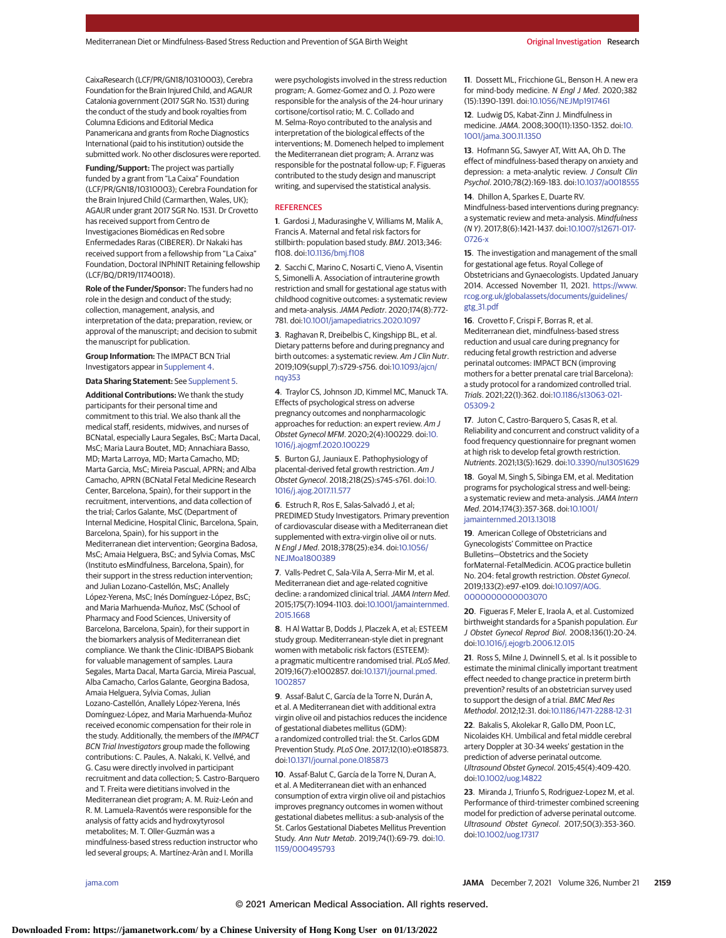CaixaResearch (LCF/PR/GN18/10310003), Cerebra Foundation for the Brain Injured Child, and AGAUR Catalonia government (2017 SGR No. 1531) during the conduct of the study and book royalties from Columna Edicions and Editorial Medica Panamericana and grants from Roche Diagnostics International (paid to his institution) outside the submitted work. No other disclosures were reported.

**Funding/Support:** The project was partially funded by a grant from "La Caixa" Foundation (LCF/PR/GN18/10310003); Cerebra Foundation for the Brain Injured Child (Carmarthen, Wales, UK); AGAUR under grant 2017 SGR No. 1531. Dr Crovetto has received support from Centro de Investigaciones Biomédicas en Red sobre Enfermedades Raras (CIBERER). Dr Nakaki has received support from a fellowship from "La Caixa" Foundation, Doctoral INPhINIT Retaining fellowship (LCF/BQ/DR19/11740018).

**Role of the Funder/Sponsor:** The funders had no role in the design and conduct of the study; collection, management, analysis, and interpretation of the data; preparation, review, or approval of the manuscript; and decision to submit the manuscript for publication.

**Group Information:** The IMPACT BCN Trial Investigators appear in [Supplement 4.](https://jamanetwork.com/journals/jama/fullarticle/10.1001/jama.2021.20178?utm_campaign=articlePDF%26utm_medium=articlePDFlink%26utm_source=articlePDF%26utm_content=jama.2021.20178)

**Data Sharing Statement:** See [Supplement 5.](https://jamanetwork.com/journals/jama/fullarticle/10.1001/jama.2021.20178?utm_campaign=articlePDF%26utm_medium=articlePDFlink%26utm_source=articlePDF%26utm_content=jama.2021.20178)

**Additional Contributions:** We thank the study participants for their personal time and commitment to this trial. We also thank all the medical staff, residents, midwives, and nurses of BCNatal, especially Laura Segales, BsC; Marta Dacal, MsC; Maria Laura Boutet, MD; Annachiara Basso, MD; Marta Larroya, MD; Marta Camacho, MD; Marta Garcia, MsC; Mireia Pascual, APRN; and Alba Camacho, APRN (BCNatal Fetal Medicine Research Center, Barcelona, Spain), for their support in the recruitment, interventions, and data collection of the trial; Carlos Galante, MsC (Department of Internal Medicine, Hospital Clinic, Barcelona, Spain, Barcelona, Spain), for his support in the Mediterranean diet intervention; Georgina Badosa, MsC; Amaia Helguera, BsC; and Sylvia Comas, MsC (Instituto esMindfulness, Barcelona, Spain), for their support in the stress reduction intervention; and Julian Lozano-Castellón, MsC; Anallely López-Yerena, MsC; Inés Domínguez-López, BsC; and Maria Marhuenda-Muñoz, MsC (School of Pharmacy and Food Sciences, University of Barcelona, Barcelona, Spain), for their support in the biomarkers analysis of Mediterranean diet compliance. We thank the Clinic-IDIBAPS Biobank for valuable management of samples. Laura Segales, Marta Dacal, Marta Garcia, Mireia Pascual, Alba Camacho, Carlos Galante, Georgina Badosa, Amaia Helguera, Sylvia Comas, Julian Lozano-Castellón, Anallely López-Yerena, Inés Domínguez-López, and Maria Marhuenda-Muñoz received economic compensation for their role in the study. Additionally, the members of the IMPACT BCN Trial Investigators group made the following contributions: C. Paules, A. Nakaki, K. Vellvé, and G. Casu were directly involved in participant recruitment and data collection; S. Castro-Barquero and T. Freita were dietitians involved in the Mediterranean diet program; A. M. Ruiz-León and R. M. Lamuela-Raventós were responsible for the analysis of fatty acids and hydroxytyrosol metabolites; M. T. Oller-Guzmán was a mindfulness-based stress reduction instructor who led several groups; A. Martínez-Aràn and I. Morilla

were psychologists involved in the stress reduction program; A. Gomez-Gomez and O. J. Pozo were responsible for the analysis of the 24-hour urinary cortisone/cortisol ratio; M. C. Collado and M. Selma-Royo contributed to the analysis and interpretation of the biological effects of the interventions; M. Domenech helped to implement the Mediterranean diet program; A. Arranz was responsible for the postnatal follow-up; F. Figueras contributed to the study design and manuscript writing, and supervised the statistical analysis.

#### **REFERENCES**

**1**. Gardosi J, Madurasinghe V, Williams M, Malik A, Francis A. Maternal and fetal risk factors for stillbirth: population based study. BMJ. 2013;346: f108. doi[:10.1136/bmj.f108](https://dx.doi.org/10.1136/bmj.f108)

**2**. Sacchi C, Marino C, Nosarti C, Vieno A, Visentin S, Simonelli A. Association of intrauterine growth restriction and small for gestational age status with childhood cognitive outcomes: a systematic review and meta-analysis.JAMA Pediatr. 2020;174(8):772- 781. doi[:10.1001/jamapediatrics.2020.1097](https://jamanetwork.com/journals/jama/fullarticle/10.1001/jamapediatrics.2020.1097?utm_campaign=articlePDF%26utm_medium=articlePDFlink%26utm_source=articlePDF%26utm_content=jama.2021.20178)

**3**. Raghavan R, Dreibelbis C, Kingshipp BL, et al. Dietary patterns before and during pregnancy and birth outcomes: a systematic review. Am J Clin Nutr. 2019;109(suppl\_7):s729-s756. doi[:10.1093/ajcn/](https://dx.doi.org/10.1093/ajcn/nqy353) [nqy353](https://dx.doi.org/10.1093/ajcn/nqy353)

**4**. Traylor CS, Johnson JD, Kimmel MC, Manuck TA. Effects of psychological stress on adverse pregnancy outcomes and nonpharmacologic approaches for reduction: an expert review. Am J Obstet Gynecol MFM. 2020;2(4):100229. doi[:10.](https://dx.doi.org/10.1016/j.ajogmf.2020.100229) [1016/j.ajogmf.2020.100229](https://dx.doi.org/10.1016/j.ajogmf.2020.100229)

**5**. Burton GJ, Jauniaux E. Pathophysiology of placental-derived fetal growth restriction. Am J Obstet Gynecol. 2018;218(2S):s745-s761. doi[:10.](https://dx.doi.org/10.1016/j.ajog.2017.11.577) [1016/j.ajog.2017.11.577](https://dx.doi.org/10.1016/j.ajog.2017.11.577)

**6**. Estruch R, Ros E, Salas-Salvadó J, et al; PREDIMED Study Investigators. Primary prevention of cardiovascular disease with a Mediterranean diet supplemented with extra-virgin olive oil or nuts. N Engl J Med. 2018;378(25):e34. doi[:10.1056/](https://dx.doi.org/10.1056/NEJMoa1800389) [NEJMoa1800389](https://dx.doi.org/10.1056/NEJMoa1800389)

**7**. Valls-Pedret C, Sala-Vila A, Serra-Mir M, et al. Mediterranean diet and age-related cognitive decline: a randomized clinical trial. JAMA Intern Med. 2015;175(7):1094-1103. doi[:10.1001/jamainternmed.](https://jamanetwork.com/journals/jama/fullarticle/10.1001/jamainternmed.2015.1668?utm_campaign=articlePDF%26utm_medium=articlePDFlink%26utm_source=articlePDF%26utm_content=jama.2021.20178) [2015.1668](https://jamanetwork.com/journals/jama/fullarticle/10.1001/jamainternmed.2015.1668?utm_campaign=articlePDF%26utm_medium=articlePDFlink%26utm_source=articlePDF%26utm_content=jama.2021.20178)

**8**. H Al Wattar B, Dodds J, Placzek A, et al; ESTEEM study group. Mediterranean-style diet in pregnant women with metabolic risk factors (ESTEEM): a pragmatic multicentre randomised trial. PLoS Med. 2019;16(7):e1002857. doi[:10.1371/journal.pmed.](https://dx.doi.org/10.1371/journal.pmed.1002857) [1002857](https://dx.doi.org/10.1371/journal.pmed.1002857)

**9**. Assaf-Balut C, García de la Torre N, Durán A, et al. A Mediterranean diet with additional extra virgin olive oil and pistachios reduces the incidence of gestational diabetes mellitus (GDM): a randomized controlled trial: the St. Carlos GDM Prevention Study. PLoS One. 2017;12(10):e0185873. doi[:10.1371/journal.pone.0185873](https://dx.doi.org/10.1371/journal.pone.0185873)

**10**. Assaf-Balut C, García de la Torre N, Duran A, et al. A Mediterranean diet with an enhanced consumption of extra virgin olive oil and pistachios improves pregnancy outcomes in women without gestational diabetes mellitus: a sub-analysis of the St. Carlos Gestational Diabetes Mellitus Prevention Study. Ann Nutr Metab. 2019;74(1):69-79. doi[:10.](https://dx.doi.org/10.1159/000495793) [1159/000495793](https://dx.doi.org/10.1159/000495793)

**11**. Dossett ML, Fricchione GL, Benson H. A new era for mind-body medicine. N Engl J Med. 2020;382 (15):1390-1391. doi[:10.1056/NEJMp1917461](https://dx.doi.org/10.1056/NEJMp1917461)

**12**. Ludwig DS, Kabat-Zinn J. Mindfulness in medicine.JAMA. 2008;300(11):1350-1352. doi[:10.](https://jamanetwork.com/journals/jama/fullarticle/10.1001/jama.300.11.1350?utm_campaign=articlePDF%26utm_medium=articlePDFlink%26utm_source=articlePDF%26utm_content=jama.2021.20178) [1001/jama.300.11.1350](https://jamanetwork.com/journals/jama/fullarticle/10.1001/jama.300.11.1350?utm_campaign=articlePDF%26utm_medium=articlePDFlink%26utm_source=articlePDF%26utm_content=jama.2021.20178)

**13**. Hofmann SG, Sawyer AT, Witt AA, Oh D. The effect of mindfulness-based therapy on anxiety and depression: a meta-analytic review. J Consult Clin Psychol. 2010;78(2):169-183. doi[:10.1037/a0018555](https://dx.doi.org/10.1037/a0018555)

**14**. Dhillon A, Sparkes E, Duarte RV.

Mindfulness-based interventions during pregnancy: a systematic review and meta-analysis. Mindfulness (N Y). 2017;8(6):1421-1437. doi[:10.1007/s12671-017-](https://dx.doi.org/10.1007/s12671-017-0726-x) [0726-x](https://dx.doi.org/10.1007/s12671-017-0726-x)

**15**. The investigation and management of the small for gestational age fetus. Royal College of Obstetricians and Gynaecologists. Updated January 2014. Accessed November 11, 2021. [https://www.](https://www.rcog.org.uk/globalassets/documents/guidelines/gtg_31.pdf) [rcog.org.uk/globalassets/documents/guidelines/](https://www.rcog.org.uk/globalassets/documents/guidelines/gtg_31.pdf) [gtg\\_31.pdf](https://www.rcog.org.uk/globalassets/documents/guidelines/gtg_31.pdf)

**16**. Crovetto F, Crispi F, Borras R, et al. Mediterranean diet, mindfulness-based stress reduction and usual care during pregnancy for reducing fetal growth restriction and adverse perinatal outcomes: IMPACT BCN (improving mothers for a better prenatal care trial Barcelona): a study protocol for a randomized controlled trial. Trials. 2021;22(1):362. doi[:10.1186/s13063-021-](https://dx.doi.org/10.1186/s13063-021-05309-2) [05309-2](https://dx.doi.org/10.1186/s13063-021-05309-2)

**17**. Juton C, Castro-Barquero S, Casas R, et al. Reliability and concurrent and construct validity of a food frequency questionnaire for pregnant women at high risk to develop fetal growth restriction. Nutrients. 2021;13(5):1629. doi[:10.3390/nu13051629](https://dx.doi.org/10.3390/nu13051629)

**18**. Goyal M, Singh S, Sibinga EM, et al. Meditation programs for psychological stress and well-being: a systematic review and meta-analysis. JAMA Intern Med. 2014;174(3):357-368. doi[:10.1001/](https://jamanetwork.com/journals/jama/fullarticle/10.1001/jamainternmed.2013.13018?utm_campaign=articlePDF%26utm_medium=articlePDFlink%26utm_source=articlePDF%26utm_content=jama.2021.20178) [jamainternmed.2013.13018](https://jamanetwork.com/journals/jama/fullarticle/10.1001/jamainternmed.2013.13018?utm_campaign=articlePDF%26utm_medium=articlePDFlink%26utm_source=articlePDF%26utm_content=jama.2021.20178)

**19**. American College of Obstetricians and Gynecologists' Committee on Practice Bulletins—Obstetrics and the Society forMaternal-FetalMedicin. ACOG practice bulletin No. 204: fetal growth restriction. Obstet Gynecol. 2019;133(2):e97-e109. doi[:10.1097/AOG.](https://dx.doi.org/10.1097/AOG.0000000000003070) [0000000000003070](https://dx.doi.org/10.1097/AOG.0000000000003070)

**20**. Figueras F, Meler E, Iraola A, et al. Customized birthweight standards for a Spanish population. Eur J Obstet Gynecol Reprod Biol. 2008;136(1):20-24. doi[:10.1016/j.ejogrb.2006.12.015](https://dx.doi.org/10.1016/j.ejogrb.2006.12.015)

**21**. Ross S, Milne J, Dwinnell S, et al. Is it possible to estimate the minimal clinically important treatment effect needed to change practice in preterm birth prevention? results of an obstetrician survey used to support the design of a trial. BMC Med Res Methodol. 2012;12:31. doi[:10.1186/1471-2288-12-31](https://dx.doi.org/10.1186/1471-2288-12-31)

**22**. Bakalis S, Akolekar R, Gallo DM, Poon LC, Nicolaides KH. Umbilical and fetal middle cerebral artery Doppler at 30-34 weeks' gestation in the prediction of adverse perinatal outcome. Ultrasound Obstet Gynecol. 2015;45(4):409-420. doi[:10.1002/uog.14822](https://dx.doi.org/10.1002/uog.14822)

**23**. Miranda J, Triunfo S, Rodriguez-Lopez M, et al. Performance of third-trimester combined screening model for prediction of adverse perinatal outcome. Ultrasound Obstet Gynecol. 2017;50(3):353-360. doi[:10.1002/uog.17317](https://dx.doi.org/10.1002/uog.17317)